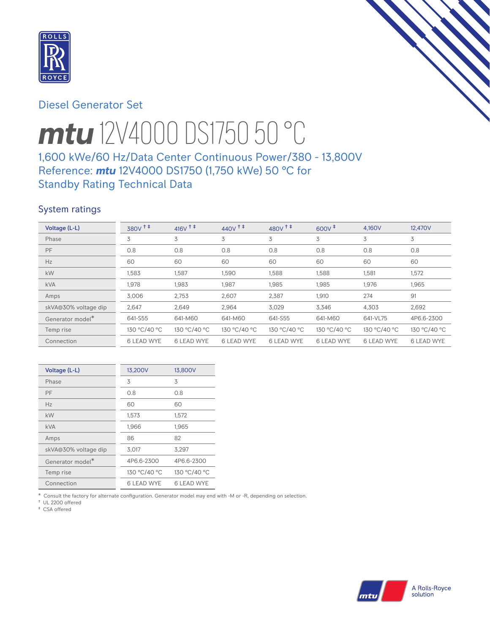

# Diesel Generator Set



# *mtu* 12V4000 DS1750 50 °C

# 1,600 kWe/60 Hz/Data Center Continuous Power/380 - 13,800V Reference: *mtu* 12V4000 DS1750 (1,750 kWe) 50 °C for Standby Rating Technical Data

# System ratings

| Voltage (L-L)                | 380V <sup>+</sup> | $416V$ <sup>++</sup> | $440V$ <sup>++</sup> | 480V <sup>++</sup> | $600V^{\ddagger}$ | 4,160V            | 12,470V           |
|------------------------------|-------------------|----------------------|----------------------|--------------------|-------------------|-------------------|-------------------|
| Phase                        | 3                 | 3                    | 3                    | 3                  | 3                 | 3                 | 3                 |
| PF                           | 0.8               | 0.8                  | 0.8                  | 0.8                | 0.8               | 0.8               | 0.8               |
| Hz                           | 60                | 60                   | 60                   | 60                 | 60                | 60                | 60                |
| <b>kW</b>                    | 1,583             | 1,587                | 1,590                | 1,588              | 1,588             | 1,581             | 1,572             |
| <b>kVA</b>                   | 1,978             | 1,983                | 1,987                | 1,985              | 1,985             | 1,976             | 1,965             |
| Amps                         | 3,006             | 2,753                | 2,607                | 2,387              | 1,910             | 274               | 91                |
| skVA@30% voltage dip         | 2,647             | 2,649                | 2,964                | 3,029              | 3,346             | 4,303             | 2,692             |
| Generator model <sup>*</sup> | 641-S55           | 641-M60              | 641-M60              | 641-S55            | 641-M60           | 641-VL75          | 4P6.6-2300        |
| Temp rise                    | 130 °C/40 °C      | 130 °C/40 °C         | 130 °C/40 °C         | 130 °C/40 °C       | 130 °C/40 °C      | 130 °C/40 °C      | 130 °C/40 °C      |
| Connection                   | <b>6 LEAD WYE</b> | <b>6 LEAD WYE</b>    | <b>6 LEAD WYE</b>    | <b>6 LEAD WYE</b>  | <b>6 LEAD WYE</b> | <b>6 LEAD WYE</b> | <b>6 LEAD WYE</b> |

| Voltage (L-L)                | 13,200V           | 13,800V           |
|------------------------------|-------------------|-------------------|
| Phase                        | 3                 | 3                 |
| PF                           | 0.8               | 0.8               |
| Hz                           | 60                | 60                |
| kW                           | 1,573             | 1,572             |
| <b>kVA</b>                   | 1,966             | 1,965             |
| Amps                         | 86                | 82                |
| skVA@30% voltage dip         | 3,017             | 3,297             |
| Generator model <sup>*</sup> | 4P6.6-2300        | 4P6.6-2300        |
| Temp rise                    | 130 °C/40 °C      | 130 °C/40 °C      |
| Connection                   | <b>6 LEAD WYE</b> | <b>6 LEAD WYE</b> |

\* Consult the factory for alternate configuration. Generator model may end with -M or -R, depending on selection.

† UL 2200 offered ‡ CSA offered

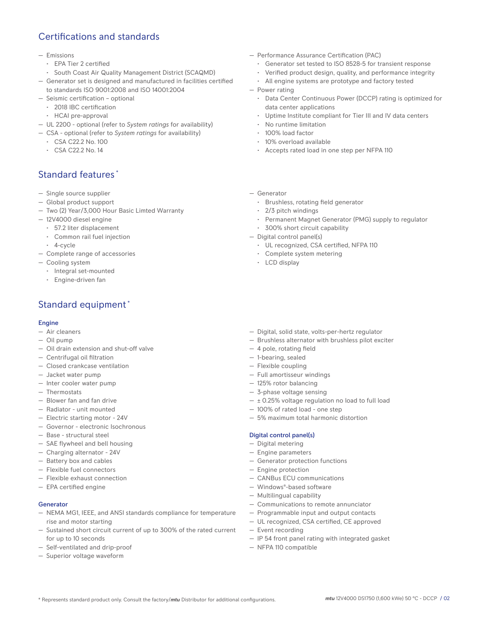# Certifications and standards

#### — Emissions

- EPA Tier 2 certified
- South Coast Air Quality Management District (SCAQMD)
- Generator set is designed and manufactured in facilities certified to standards ISO 9001:2008 and ISO 14001:2004
- Seismic certification optional
	- 2018 IBC certification
	- HCAI pre-approval
- UL 2200 optional (refer to *System ratings* for availability)
- CSA optional (refer to *System ratings* for availability)
	- CSA C22.2 No. 100
	- CSA C22.2 No. 14

# Standard features \*

- Single source supplier
- Global product support
- Two (2) Year/3,000 Hour Basic Limted Warranty
- 12V4000 diesel engine
	- 57.2 liter displacement
	- Common rail fuel injection
	- 4-cycle
- Complete range of accessories
- Cooling system
	- Integral set-mounted
	- Engine-driven fan

# Standard equipment \*

## Engine

- Air cleaners
- Oil pump
- Oil drain extension and shut-off valve
- Centrifugal oil filtration
- Closed crankcase ventilation
- Jacket water pump
- Inter cooler water pump
- Thermostats
- Blower fan and fan drive
- Radiator unit mounted
- Electric starting motor 24V
- Governor electronic Isochronous
- Base structural steel
- SAE flywheel and bell housing
- Charging alternator 24V
- Battery box and cables
- Flexible fuel connectors
- Flexible exhaust connection
- EPA certified engine

#### Generator

- NEMA MG1, IEEE, and ANSI standards compliance for temperature rise and motor starting
- Sustained short circuit current of up to 300% of the rated current for up to 10 seconds
- Self-ventilated and drip-proof
- Superior voltage waveform
- Performance Assurance Certification (PAC)
	- Generator set tested to ISO 8528-5 for transient response
	- Verified product design, quality, and performance integrity
	- All engine systems are prototype and factory tested
- Power rating
	- Data Center Continuous Power (DCCP) rating is optimized for data center applications
	- Uptime Institute compliant for Tier III and IV data centers
	- No runtime limitation
	- 100% load factor
	- 10% overload available
	- Accepts rated load in one step per NFPA 110
- Generator
	- Brushless, rotating field generator
	- 2/3 pitch windings
	- Permanent Magnet Generator (PMG) supply to regulator
	- 300% short circuit capability
- Digital control panel(s)
	- UL recognized, CSA certified, NFPA 110
	- Complete system metering
	- LCD display
- Digital, solid state, volts-per-hertz regulator
- Brushless alternator with brushless pilot exciter
- 4 pole, rotating field
- 1-bearing, sealed
- Flexible coupling
- Full amortisseur windings
- 125% rotor balancing
- 3-phase voltage sensing
- $\pm$  0.25% voltage regulation no load to full load
- 100% of rated load one step
- 5% maximum total harmonic distortion

#### Digital control panel(s)

- Digital metering
- Engine parameters
- Generator protection functions
- Engine protection
- CANBus ECU communications
- Windows®-based software
- Multilingual capability
- Communications to remote annunciator
- Programmable input and output contacts
- UL recognized, CSA certified, CE approved
- Event recording
- IP 54 front panel rating with integrated gasket
- NFPA 110 compatible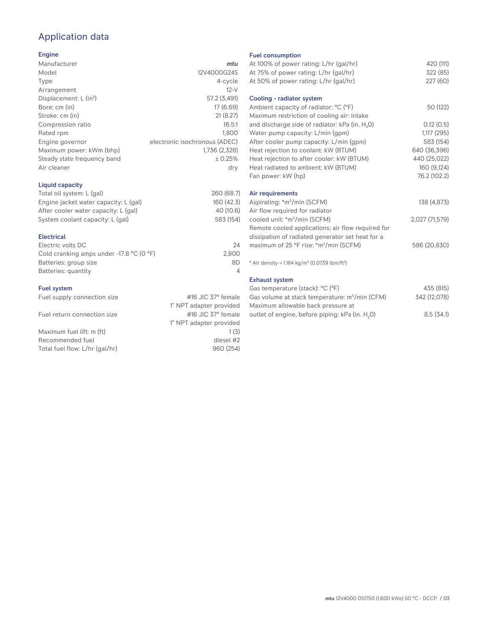# Application data

## Engine

| Manufacturer                         | mtu                           |
|--------------------------------------|-------------------------------|
| Model                                | 12V4000G24S                   |
| Type                                 | 4-cycle                       |
| Arrangement                          | $12-V$                        |
| Displacement: $L$ (in <sup>3</sup> ) | 57.2 (3,491)                  |
| Bore: cm (in)                        | 17 (6.69)                     |
| Stroke: cm (in)                      | 21(8.27)                      |
| Compression ratio                    | 16.5:1                        |
| Rated rpm                            | 1.800                         |
| Engine governor                      | electronic isochronous (ADEC) |
| Maximum power: kWm (bhp)             | 1,736 (2,328)                 |
| Steady state frequency band          | ± 0.25%                       |
| Air cleaner                          | dry                           |
|                                      |                               |

## Liquid capacity

| Total oil system: L (gal)             | 260 (68.7) |
|---------------------------------------|------------|
| Engine jacket water capacity: L (gal) | 160 (42.3) |
| After cooler water capacity: L (gal)  | 40 (10.6)  |
| System coolant capacity: L (gal)      | 583 (154)  |
|                                       |            |

## Electrical

| 24    |
|-------|
| 2.800 |
| 8D    |
|       |
|       |

## Fuel system

| Fuel supply connection size    | #16 JIC $37^\circ$ female |
|--------------------------------|---------------------------|
|                                | 1" NPT adapter provided   |
| Fuel return connection size    | #16 JIC $37^\circ$ female |
|                                | 1" NPT adapter provided   |
| Maximum fuel lift: m (ft)      | 1(3)                      |
| Recommended fuel               | diesel #2                 |
| Total fuel flow: L/hr (gal/hr) | 960 (254)                 |
|                                |                           |

## Fuel consumption

| At 100% of power rating: L/hr (gal/hr)                                | 420 (111)      |
|-----------------------------------------------------------------------|----------------|
| At 75% of power rating: L/hr (gal/hr)                                 | 322 (85)       |
| At 50% of power rating: L/hr (gal/hr)                                 | 227(60)        |
|                                                                       |                |
| Cooling - radiator system                                             |                |
| Ambient capacity of radiator: °C (°F)                                 | 50 (122)       |
| Maximum restriction of cooling air: intake                            |                |
| and discharge side of radiator: kPa (in. H <sub>2</sub> O)            | 0.12(0.5)      |
| Water pump capacity: L/min (gpm)                                      | 1,117 (295)    |
| After cooler pump capacity: L/min (gpm)                               | 583 (154)      |
| Heat rejection to coolant: kW (BTUM)                                  | 640 (36,396)   |
| Heat rejection to after cooler: kW (BTUM)                             | 440 (25,022)   |
| Heat radiated to ambient: kW (BTUM)                                   | 160 (9,124)    |
|                                                                       | 76.2 (102.2)   |
| Fan power: kW (hp)                                                    |                |
| Air requirements                                                      |                |
| Aspirating: *m <sup>3</sup> /min (SCFM)                               | 138 (4,873)    |
| Air flow required for radiator                                        |                |
| cooled unit: *m <sup>3</sup> /min (SCFM)                              | 2,027 (71,579) |
| Remote cooled applications; air flow required for                     |                |
| dissipation of radiated generator set heat for a                      |                |
|                                                                       |                |
| maximum of 25 °F rise: *m <sup>3</sup> /min (SCFM)                    | 586 (20,830)   |
| * Air density = 1.184 kg/m <sup>3</sup> (0.0739 lbm/ft <sup>3</sup> ) |                |
|                                                                       |                |
| <b>Exhaust system</b>                                                 |                |
| Gas temperature (stack): °C (°F)                                      | 435 (815)      |
| Gas volume at stack temperature: m <sup>3</sup> /min (CFM)            | 342 (12,078)   |
|                                                                       |                |

| Maximum allowable back pressure at                          |           |
|-------------------------------------------------------------|-----------|
| outlet of engine, before piping: kPa (in. H <sub>2</sub> O) | 8.5(34.1) |